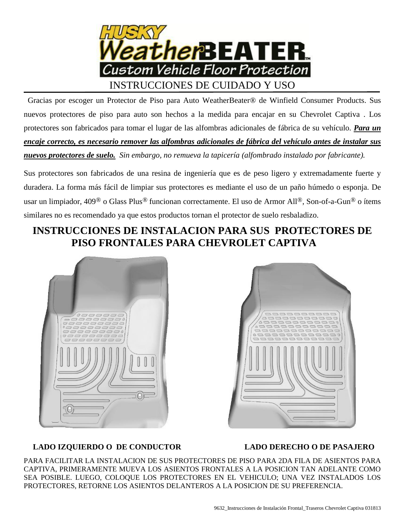

 Gracias por escoger un Protector de Piso para Auto WeatherBeater® de Winfield Consumer Products. Sus nuevos protectores de piso para auto son hechos a la medida para encajar en su Chevrolet Captiva . Los protectores son fabricados para tomar el lugar de las alfombras adicionales de fábrica de su vehículo. *Para un encaje correcto, es necesario remover las alfombras adicionales de fábrica del vehículo antes de instalar sus nuevos protectores de suelo. Sin embargo, no remueva la tapicería (alfombrado instalado por fabricante).*

Sus protectores son fabricados de una resina de ingeniería que es de peso ligero y extremadamente fuerte y duradera. La forma más fácil de limpiar sus protectores es mediante el uso de un paño húmedo o esponja. De usar un limpiador, 409® o Glass Plus® funcionan correctamente. El uso de Armor All®, Son-of-a-Gun® o ítems similares no es recomendado ya que estos productos tornan el protector de suelo resbaladizo.

# **INSTRUCCIONES DE INSTALACION PARA SUS PROTECTORES DE PISO FRONTALES PARA CHEVROLET CAPTIVA**





#### **LADO IZQUIERDO O DE CONDUCTOR**

#### **LADO DERECHO O DE PASAJERO**

PARA FACILITAR LA INSTALACION DE SUS PROTECTORES DE PISO PARA 2DA FILA DE ASIENTOS PARA CAPTIVA, PRIMERAMENTE MUEVA LOS ASIENTOS FRONTALES A LA POSICION TAN ADELANTE COMO SEA POSIBLE. LUEGO, COLOQUE LOS PROTECTORES EN EL VEHICULO; UNA VEZ INSTALADOS LOS PROTECTORES, RETORNE LOS ASIENTOS DELANTEROS A LA POSICION DE SU PREFERENCIA.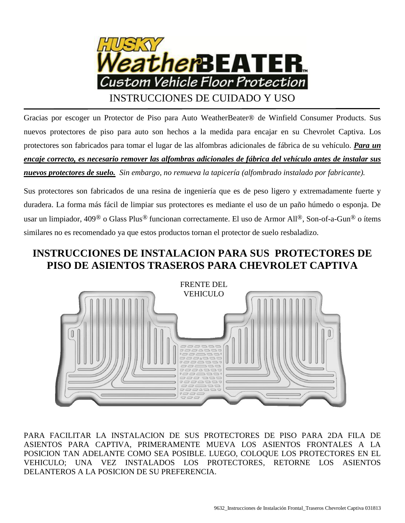

Gracias por escoger un Protector de Piso para Auto WeatherBeater® de Winfield Consumer Products. Sus nuevos protectores de piso para auto son hechos a la medida para encajar en su Chevrolet Captiva. Los protectores son fabricados para tomar el lugar de las alfombras adicionales de fábrica de su vehículo. *Para un encaje correcto, es necesario remover las alfombras adicionales de fábrica del vehículo antes de instalar sus nuevos protectores de suelo. Sin embargo, no remueva la tapicería (alfombrado instalado por fabricante).*

Sus protectores son fabricados de una resina de ingeniería que es de peso ligero y extremadamente fuerte y duradera. La forma más fácil de limpiar sus protectores es mediante el uso de un paño húmedo o esponja. De usar un limpiador, 409® o Glass Plus® funcionan correctamente. El uso de Armor All®, Son-of-a-Gun® o ítems similares no es recomendado ya que estos productos tornan el protector de suelo resbaladizo.

## **INSTRUCCIONES DE INSTALACION PARA SUS PROTECTORES DE PISO DE ASIENTOS TRASEROS PARA CHEVROLET CAPTIVA**



PARA FACILITAR LA INSTALACION DE SUS PROTECTORES DE PISO PARA 2DA FILA DE ASIENTOS PARA CAPTIVA, PRIMERAMENTE MUEVA LOS ASIENTOS FRONTALES A LA POSICION TAN ADELANTE COMO SEA POSIBLE. LUEGO, COLOQUE LOS PROTECTORES EN EL VEHICULO; UNA VEZ INSTALADOS LOS PROTECTORES, RETORNE LOS ASIENTOS DELANTEROS A LA POSICION DE SU PREFERENCIA.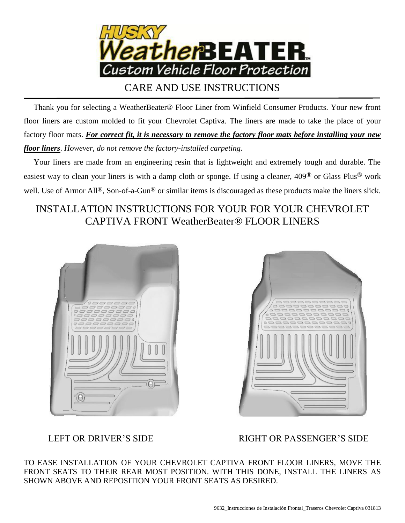

CARE AND USE INSTRUCTIONS

 Thank you for selecting a WeatherBeater® Floor Liner from Winfield Consumer Products. Your new front floor liners are custom molded to fit your Chevrolet Captiva. The liners are made to take the place of your factory floor mats. *For correct fit, it is necessary to remove the factory floor mats before installing your new floor liners*. *However, do not remove the factory-installed carpeting.*

 Your liners are made from an engineering resin that is lightweight and extremely tough and durable. The easiest way to clean your liners is with a damp cloth or sponge. If using a cleaner, 409® or Glass Plus® work well. Use of Armor All<sup>®</sup>, Son-of-a-Gun<sup>®</sup> or similar items is discouraged as these products make the liners slick.

## INSTALLATION INSTRUCTIONS FOR YOUR FOR YOUR CHEVROLET CAPTIVA FRONT WeatherBeater® FLOOR LINERS





LEFT OR DRIVER'S SIDE RIGHT OR PASSENGER'S SIDE

TO EASE INSTALLATION OF YOUR CHEVROLET CAPTIVA FRONT FLOOR LINERS, MOVE THE FRONT SEATS TO THEIR REAR MOST POSITION. WITH THIS DONE, INSTALL THE LINERS AS SHOWN ABOVE AND REPOSITION YOUR FRONT SEATS AS DESIRED.